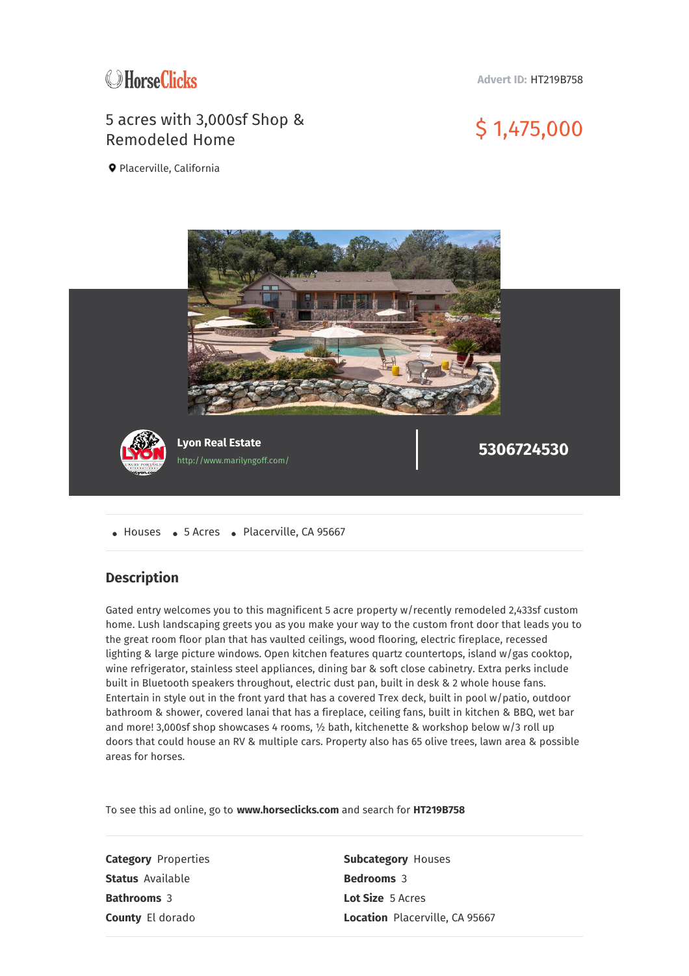

**Advert ID:** HT219B758

## 5 acres with 3,000sf Shop & Remodeled Home \$ 1,475,000

Placerville, California



• Houses • 5 Acres • Placerville, CA 95667

## **Description**

Gated entry welcomes you to this magnificent 5 acre property w/recently remodeled 2,433sf custom home. Lush landscaping greets you as you make your way to the custom front door that leads you to the great room floor plan that has vaulted ceilings, wood flooring, electric fireplace, recessed lighting & large picture windows. Open kitchen features quartz countertops, island w/gas cooktop, wine refrigerator, stainless steel appliances, dining bar & soft close cabinetry. Extra perks include built in Bluetooth speakers throughout, electric dust pan, built in desk & 2 whole house fans. Entertain in style out in the front yard that has a covered Trex deck, built in pool w/patio, outdoor bathroom & shower, covered lanai that has a fireplace, ceiling fans, built in kitchen & BBQ, wet bar and more! 3,000sf shop showcases 4 rooms, ½ bath, kitchenette & workshop below w/3 roll up doors that could house an RV & multiple cars. Property also has 65 olive trees, lawn area & possible areas for horses.

To see this ad online, go to **www.horseclicks.com** and search for **HT219B758**

**Category** Properties **Subcategory** Houses **Status** Available **Bedrooms** 3 **Bathrooms** 3 **Lot Size** 5 Acres

**County** El dorado **Location** Placerville, CA 95667